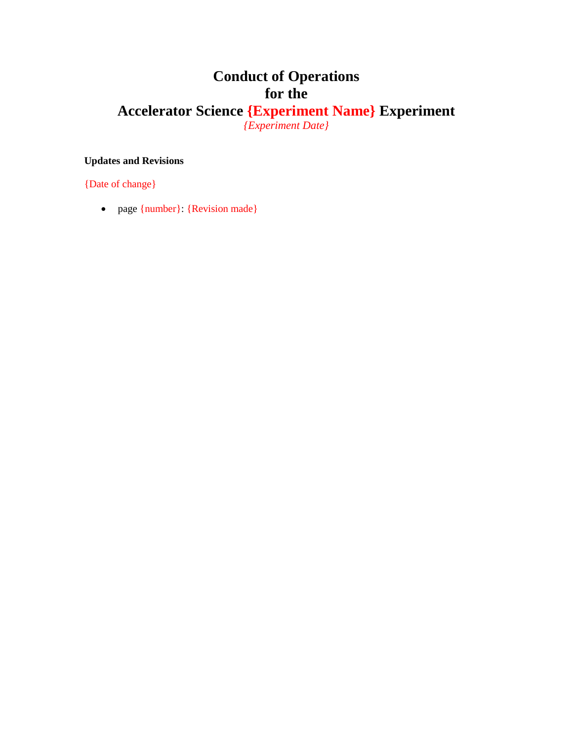# **Conduct of Operations for the**

# **Accelerator Science {Experiment Name} Experiment** *{Experiment Date}*

#### **Updates and Revisions**

{Date of change}

• page {number}: {Revision made}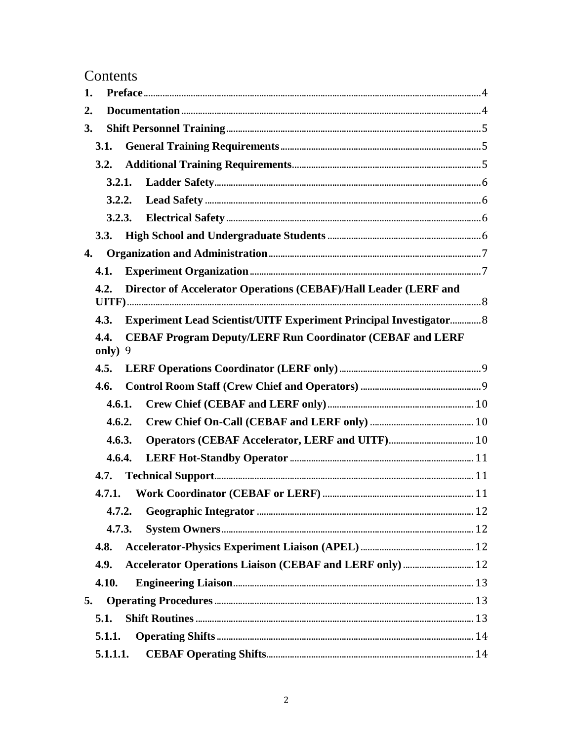# Contents

| 1. |                                                                          |        |                                                                           |  |  |  |
|----|--------------------------------------------------------------------------|--------|---------------------------------------------------------------------------|--|--|--|
| 2. |                                                                          |        |                                                                           |  |  |  |
| 3. |                                                                          |        |                                                                           |  |  |  |
|    | 3.1.                                                                     |        |                                                                           |  |  |  |
|    | 3.2.                                                                     |        |                                                                           |  |  |  |
|    |                                                                          | 3.2.1. |                                                                           |  |  |  |
|    | 3.2.2.                                                                   |        |                                                                           |  |  |  |
|    |                                                                          | 3.2.3. |                                                                           |  |  |  |
|    | 3.3.                                                                     |        |                                                                           |  |  |  |
| 4. |                                                                          |        |                                                                           |  |  |  |
|    | 4.1.                                                                     |        |                                                                           |  |  |  |
|    | Director of Accelerator Operations (CEBAF)/Hall Leader (LERF and<br>4.2. |        |                                                                           |  |  |  |
|    | 4.3.                                                                     |        | <b>Experiment Lead Scientist/UITF Experiment Principal Investigator 8</b> |  |  |  |
|    | 4.4.<br>only)                                                            | 9      | <b>CEBAF Program Deputy/LERF Run Coordinator (CEBAF and LERF</b>          |  |  |  |
|    | 4.5.                                                                     |        |                                                                           |  |  |  |
|    | 4.6.                                                                     |        |                                                                           |  |  |  |
|    | 4.6.1.                                                                   |        |                                                                           |  |  |  |
|    | 4.6.2.                                                                   |        |                                                                           |  |  |  |
|    | 4.6.3.                                                                   |        |                                                                           |  |  |  |
|    | 4.6.4.                                                                   |        |                                                                           |  |  |  |
|    | 4.7.                                                                     |        |                                                                           |  |  |  |
|    | 4.7.1.                                                                   |        |                                                                           |  |  |  |
|    | 4.7.2.                                                                   |        |                                                                           |  |  |  |
|    | 4.7.3.                                                                   |        |                                                                           |  |  |  |
|    | 4.8.                                                                     |        |                                                                           |  |  |  |
|    | 4.9.                                                                     |        | Accelerator Operations Liaison (CEBAF and LERF only)  12                  |  |  |  |
|    | 4.10.                                                                    |        |                                                                           |  |  |  |
| 5. |                                                                          |        |                                                                           |  |  |  |
|    | 5.1.                                                                     |        |                                                                           |  |  |  |
|    | 5.1.1.                                                                   |        |                                                                           |  |  |  |
|    | 5.1.1.1.                                                                 |        |                                                                           |  |  |  |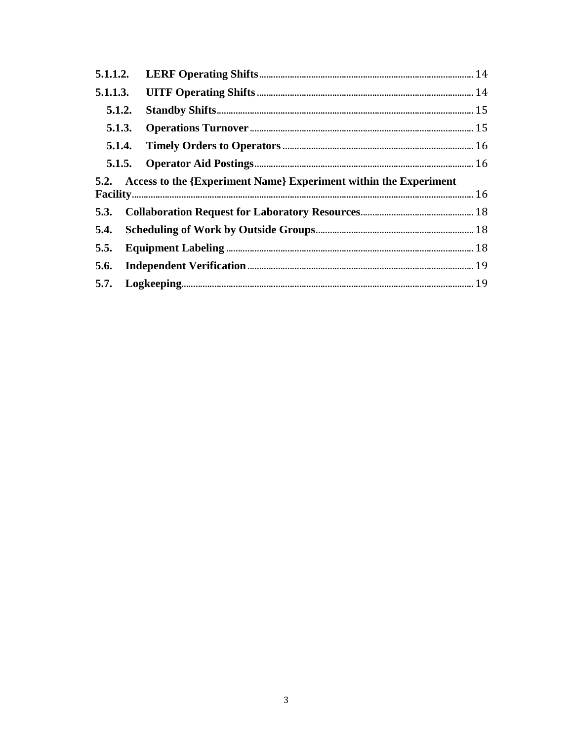|  | 5.1.2. |                                                                       |  |
|--|--------|-----------------------------------------------------------------------|--|
|  |        |                                                                       |  |
|  |        |                                                                       |  |
|  |        |                                                                       |  |
|  |        | 5.2. Access to the {Experiment Name} Experiment within the Experiment |  |
|  |        |                                                                       |  |
|  |        |                                                                       |  |
|  |        |                                                                       |  |
|  |        |                                                                       |  |
|  |        |                                                                       |  |
|  |        |                                                                       |  |
|  |        |                                                                       |  |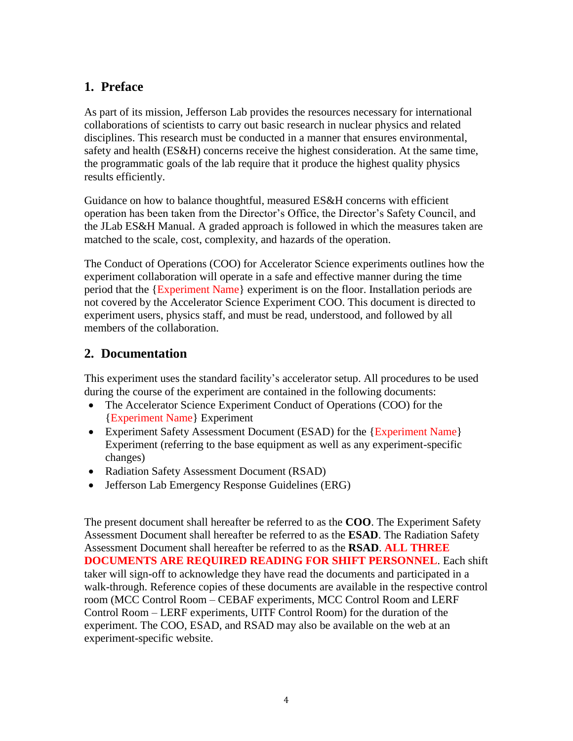# <span id="page-3-0"></span>**1. Preface**

As part of its mission, Jefferson Lab provides the resources necessary for international collaborations of scientists to carry out basic research in nuclear physics and related disciplines. This research must be conducted in a manner that ensures environmental, safety and health (ES&H) concerns receive the highest consideration. At the same time, the programmatic goals of the lab require that it produce the highest quality physics results efficiently.

Guidance on how to balance thoughtful, measured ES&H concerns with efficient operation has been taken from the Director's Office, the Director's Safety Council, and the JLab ES&H Manual. A graded approach is followed in which the measures taken are matched to the scale, cost, complexity, and hazards of the operation.

The Conduct of Operations (COO) for Accelerator Science experiments outlines how the experiment collaboration will operate in a safe and effective manner during the time period that the {Experiment Name} experiment is on the floor. Installation periods are not covered by the Accelerator Science Experiment COO. This document is directed to experiment users, physics staff, and must be read, understood, and followed by all members of the collaboration.

# <span id="page-3-1"></span>**2. Documentation**

This experiment uses the standard facility's accelerator setup. All procedures to be used during the course of the experiment are contained in the following documents:

- The Accelerator Science Experiment Conduct of Operations (COO) for the {Experiment Name} Experiment
- Experiment Safety Assessment Document (ESAD) for the {Experiment Name} Experiment (referring to the base equipment as well as any experiment-specific changes)
- Radiation Safety Assessment Document (RSAD)
- Jefferson Lab Emergency Response Guidelines (ERG)

The present document shall hereafter be referred to as the **COO**. The Experiment Safety Assessment Document shall hereafter be referred to as the **ESAD**. The Radiation Safety Assessment Document shall hereafter be referred to as the **RSAD**. **ALL THREE DOCUMENTS ARE REQUIRED READING FOR SHIFT PERSONNEL**. Each shift taker will sign-off to acknowledge they have read the documents and participated in a walk-through. Reference copies of these documents are available in the respective control room (MCC Control Room – CEBAF experiments, MCC Control Room and LERF Control Room – LERF experiments, UITF Control Room) for the duration of the experiment. The COO, ESAD, and RSAD may also be available on the web at an experiment-specific website.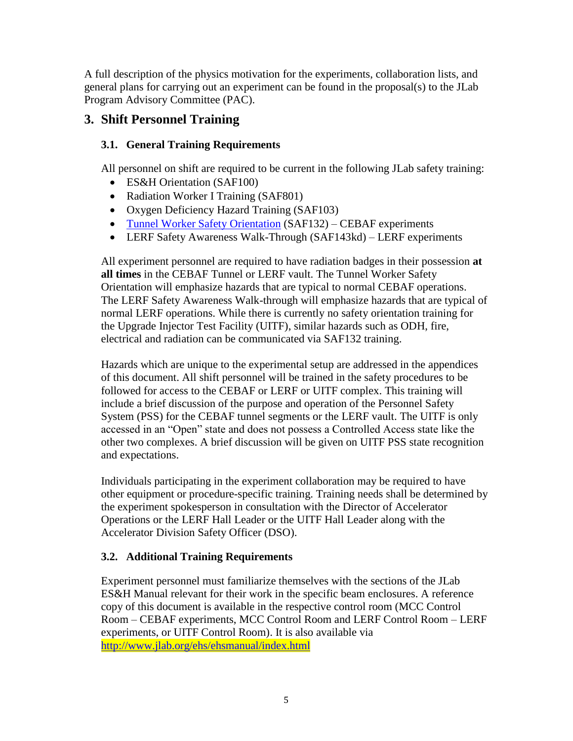A full description of the physics motivation for the experiments, collaboration lists, and general plans for carrying out an experiment can be found in the proposal(s) to the JLab Program Advisory Committee (PAC).

# <span id="page-4-0"></span>**3. Shift Personnel Training**

# <span id="page-4-1"></span>**3.1. General Training Requirements**

All personnel on shift are required to be current in the following JLab safety training:

- ES&H Orientation (SAF100)
- Radiation Worker I Training (SAF801)
- Oxygen Deficiency Hazard Training (SAF103)
- Tunnel Worker Safety [Orientation](https://misportal.jlab.org/training/viewSkill.seam?skillId=457) (SAF132) CEBAF experiments
- LERF Safety Awareness Walk-Through (SAF143kd) LERF experiments

All experiment personnel are required to have radiation badges in their possession **at all times** in the CEBAF Tunnel or LERF vault. The Tunnel Worker Safety Orientation will emphasize hazards that are typical to normal CEBAF operations. The LERF Safety Awareness Walk-through will emphasize hazards that are typical of normal LERF operations. While there is currently no safety orientation training for the Upgrade Injector Test Facility (UITF), similar hazards such as ODH, fire, electrical and radiation can be communicated via SAF132 training.

Hazards which are unique to the experimental setup are addressed in the appendices of this document. All shift personnel will be trained in the safety procedures to be followed for access to the CEBAF or LERF or UITF complex. This training will include a brief discussion of the purpose and operation of the Personnel Safety System (PSS) for the CEBAF tunnel segments or the LERF vault. The UITF is only accessed in an "Open" state and does not possess a Controlled Access state like the other two complexes. A brief discussion will be given on UITF PSS state recognition and expectations.

Individuals participating in the experiment collaboration may be required to have other equipment or procedure-specific training. Training needs shall be determined by the experiment spokesperson in consultation with the Director of Accelerator Operations or the LERF Hall Leader or the UITF Hall Leader along with the Accelerator Division Safety Officer (DSO).

# <span id="page-4-2"></span>**3.2. Additional Training Requirements**

Experiment personnel must familiarize themselves with the sections of the JLab ES&H Manual relevant for their work in the specific beam enclosures. A reference copy of this document is available in the respective control room (MCC Control Room – CEBAF experiments, MCC Control Room and LERF Control Room – LERF experiments, or UITF Control Room). It is also available via <http://www.jlab.org/ehs/ehsmanual/index.html>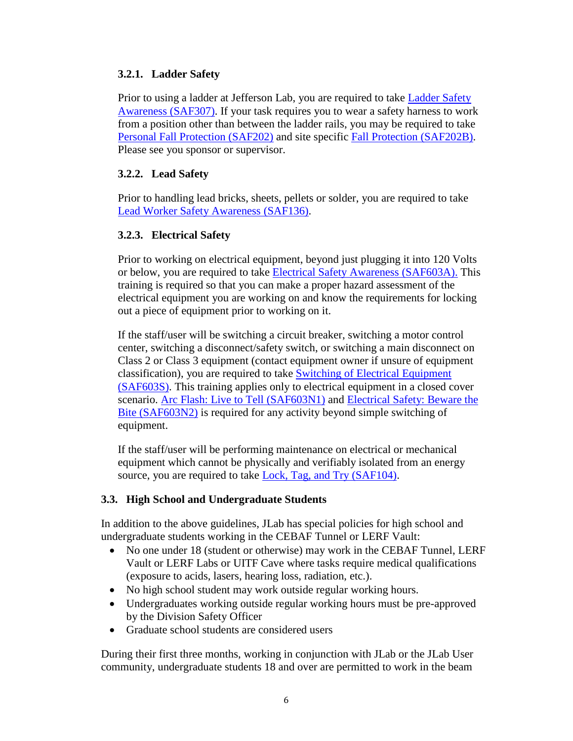# <span id="page-5-0"></span>**3.2.1. Ladder Safety**

Prior to using a ladder at Jefferson Lab, you are required to take Ladder Safety [Awareness](http://www.jlab.org/div_dept/train/webbasedtraining.html) (SAF307). If your task requires you to wear a safety harness to work from a position other than between the ladder rails, you may be required to take [Personal Fall Protection \(SAF202\)](http://www.jlab.org/div_dept/train/webbasedtraining.html) and site specific [Fall Protection \(SAF202B\).](http://www.jlab.org/div_dept/train/webbasedtraining.html) Please see you sponsor or supervisor.

# <span id="page-5-1"></span>**3.2.2. Lead Safety**

Prior to handling lead bricks, sheets, pellets or solder, you are required to take [Lead Worker Safety Awareness](http://www.jlab.org/div_dept/train/webbasedtraining.html) (SAF136).

# <span id="page-5-2"></span>**3.2.3. Electrical Safety**

Prior to working on electrical equipment, beyond just plugging it into 120 Volts or below, you are required to take **Electrical Safety Awareness (SAF603A)**. This training is required so that you can make a proper hazard assessment of the electrical equipment you are working on and know the requirements for locking out a piece of equipment prior to working on it.

If the staff/user will be switching a circuit breaker, switching a motor control center, switching a disconnect/safety switch, or switching a main disconnect on Class 2 or Class 3 equipment (contact equipment owner if unsure of equipment classification), you are required to take [Switching of Electrical Equipment](http://www.jlab.org/div_dept/train/webbasedtraining.html) [\(SAF603S\).](http://www.jlab.org/div_dept/train/webbasedtraining.html) This training applies only to electrical equipment in a closed cover scenario. [Arc Flash: Live to Tell \(SAF603N1\)](http://www.jlab.org/div_dept/train/webbasedtraining.html) and Electrical Safety: Beware the [Bite \(SAF603N2\)](http://www.jlab.org/div_dept/train/webbasedtraining.html) is required for any activity beyond simple switching of equipment.

If the staff/user will be performing maintenance on electrical or mechanical equipment which cannot be physically and verifiably isolated from an energy source, you are required to take [Lock, Tag, and Try \(SAF104\).](http://www.jlab.org/div_dept/train/webbasedtraining.html)

# <span id="page-5-3"></span>**3.3. High School and Undergraduate Students**

In addition to the above guidelines, JLab has special policies for high school and undergraduate students working in the CEBAF Tunnel or LERF Vault:

- No one under 18 (student or otherwise) may work in the CEBAF Tunnel, LERF Vault or LERF Labs or UITF Cave where tasks require medical qualifications (exposure to acids, lasers, hearing loss, radiation, etc.).
- No high school student may work outside regular working hours.
- Undergraduates working outside regular working hours must be pre-approved by the Division Safety Officer
- Graduate school students are considered users

During their first three months, working in conjunction with JLab or the JLab User community, undergraduate students 18 and over are permitted to work in the beam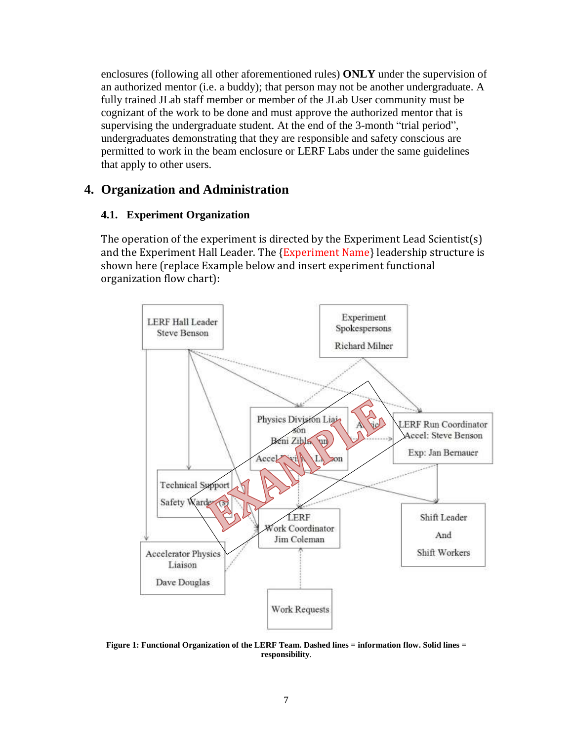enclosures (following all other aforementioned rules) **ONLY** under the supervision of an authorized mentor (i.e. a buddy); that person may not be another undergraduate. A fully trained JLab staff member or member of the JLab User community must be cognizant of the work to be done and must approve the authorized mentor that is supervising the undergraduate student. At the end of the 3-month "trial period", undergraduates demonstrating that they are responsible and safety conscious are permitted to work in the beam enclosure or LERF Labs under the same guidelines that apply to other users.

# <span id="page-6-0"></span>**4. Organization and Administration**

# <span id="page-6-1"></span>**4.1. Experiment Organization**

The operation of the experiment is directed by the Experiment Lead Scientist(s) and the Experiment Hall Leader. The {Experiment Name} leadership structure is shown here (replace Example below and insert experiment functional organization flow chart):



**Figure 1: Functional Organization of the LERF Team. Dashed lines = information flow. Solid lines = responsibility**.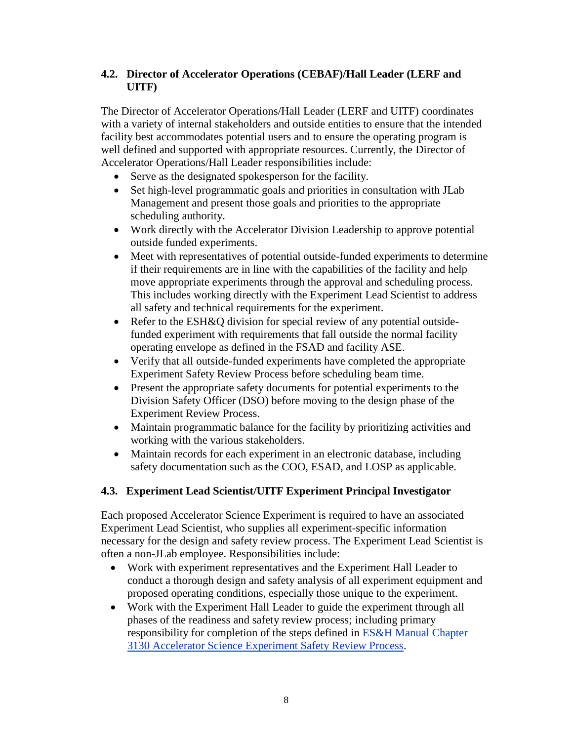# <span id="page-7-0"></span>**4.2. Director of Accelerator Operations (CEBAF)/Hall Leader (LERF and UITF)**

The Director of Accelerator Operations/Hall Leader (LERF and UITF) coordinates with a variety of internal stakeholders and outside entities to ensure that the intended facility best accommodates potential users and to ensure the operating program is well defined and supported with appropriate resources. Currently, the Director of Accelerator Operations/Hall Leader responsibilities include:

- Serve as the designated spokesperson for the facility.
- Set high-level programmatic goals and priorities in consultation with JLab Management and present those goals and priorities to the appropriate scheduling authority.
- Work directly with the Accelerator Division Leadership to approve potential outside funded experiments.
- Meet with representatives of potential outside-funded experiments to determine if their requirements are in line with the capabilities of the facility and help move appropriate experiments through the approval and scheduling process. This includes working directly with the Experiment Lead Scientist to address all safety and technical requirements for the experiment.
- Refer to the ESH&Q division for special review of any potential outsidefunded experiment with requirements that fall outside the normal facility operating envelope as defined in the FSAD and facility ASE.
- Verify that all outside-funded experiments have completed the appropriate Experiment Safety Review Process before scheduling beam time.
- Present the appropriate safety documents for potential experiments to the Division Safety Officer (DSO) before moving to the design phase of the Experiment Review Process.
- Maintain programmatic balance for the facility by prioritizing activities and working with the various stakeholders.
- Maintain records for each experiment in an electronic database, including safety documentation such as the COO, ESAD, and LOSP as applicable.

# <span id="page-7-1"></span>**4.3. Experiment Lead Scientist/UITF Experiment Principal Investigator**

Each proposed Accelerator Science Experiment is required to have an associated Experiment Lead Scientist, who supplies all experiment-specific information necessary for the design and safety review process. The Experiment Lead Scientist is often a non-JLab employee. Responsibilities include:

- Work with experiment representatives and the Experiment Hall Leader to conduct a thorough design and safety analysis of all experiment equipment and proposed operating conditions, especially those unique to the experiment.
- Work with the Experiment Hall Leader to guide the experiment through all phases of the readiness and safety review process; including primary responsibility for completion of the steps defined in ES&H Manual Chapter 3130 Accelerator Science Experiment Safety Review Process.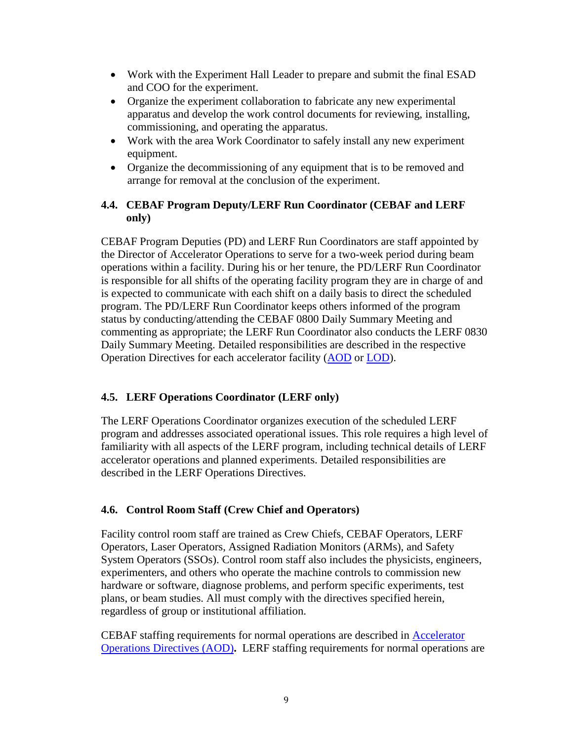- Work with the Experiment Hall Leader to prepare and submit the final ESAD and COO for the experiment.
- Organize the experiment collaboration to fabricate any new experimental apparatus and develop the work control documents for reviewing, installing, commissioning, and operating the apparatus.
- Work with the area Work Coordinator to safely install any new experiment equipment.
- Organize the decommissioning of any equipment that is to be removed and arrange for removal at the conclusion of the experiment.

# <span id="page-8-0"></span>**4.4. CEBAF Program Deputy/LERF Run Coordinator (CEBAF and LERF only)**

CEBAF Program Deputies (PD) and LERF Run Coordinators are staff appointed by the Director of Accelerator Operations to serve for a two-week period during beam operations within a facility. During his or her tenure, the PD/LERF Run Coordinator is responsible for all shifts of the operating facility program they are in charge of and is expected to communicate with each shift on a daily basis to direct the scheduled program. The PD/LERF Run Coordinator keeps others informed of the program status by conducting/attending the CEBAF 0800 Daily Summary Meeting and commenting as appropriate; the LERF Run Coordinator also conducts the LERF 0830 Daily Summary Meeting. Detailed responsibilities are described in the respective Operation Directives for each accelerator facility [\(AOD](http://opsntsrv.acc.jlab.org/ops_docs/online_document_files/ACC_online_files/accel_ops_directives.pdf) or [LOD\)](http://opsntsrv.acc.jlab.org/ops_docs/online_document_files/LERF_online_files/LERF_Operations_Directives_twosided.pdf).

# <span id="page-8-1"></span>**4.5. LERF Operations Coordinator (LERF only)**

The LERF Operations Coordinator organizes execution of the scheduled LERF program and addresses associated operational issues. This role requires a high level of familiarity with all aspects of the LERF program, including technical details of LERF accelerator operations and planned experiments. Detailed responsibilities are described in the LERF Operations Directives.

# <span id="page-8-2"></span>**4.6. Control Room Staff (Crew Chief and Operators)**

Facility control room staff are trained as Crew Chiefs, CEBAF Operators, LERF Operators, Laser Operators, Assigned Radiation Monitors (ARMs), and Safety System Operators (SSOs). Control room staff also includes the physicists, engineers, experimenters, and others who operate the machine controls to commission new hardware or software, diagnose problems, and perform specific experiments, test plans, or beam studies. All must comply with the directives specified herein, regardless of group or institutional affiliation.

CEBAF staffing requirements for normal operations are described in [Accelerator](http://opsntsrv.acc.jlab.org/ops_docs/online_document_files/ACC_online_files/accel_ops_directives.pdf) [Operations Directives \(AOD\)](http://opsntsrv.acc.jlab.org/ops_docs/online_document_files/ACC_online_files/accel_ops_directives.pdf)**.** LERF staffing requirements for normal operations are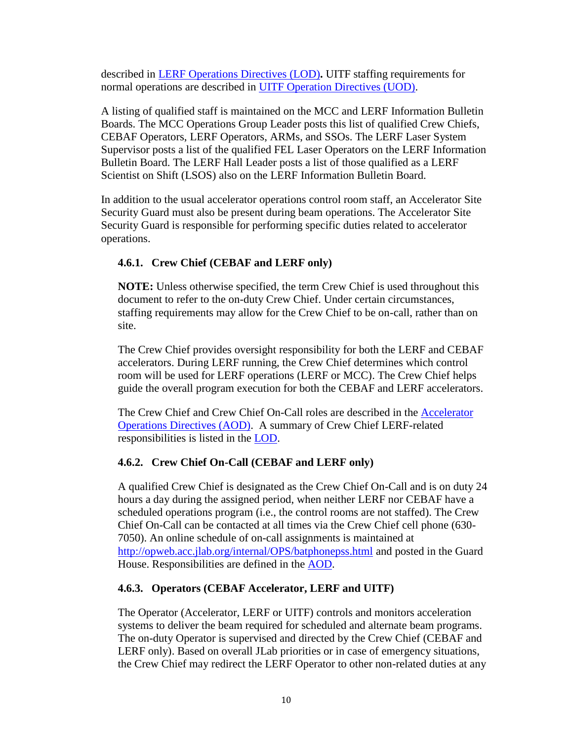described in [LERF Operations Directives \(LOD\)](http://opsntsrv.acc.jlab.org/ops_docs/online_document_files/LERF_online_files/LERF_Operations_Directives_twosided.pdf)**.** UITF staffing requirements for normal operations are described in [UITF Operation Directives \(UOD\).](http://opsntsrv.acc.jlab.org/ops_docs/online_document_files/MCC_online_files/UITF_Operations_Directives.pdf)

A listing of qualified staff is maintained on the MCC and LERF Information Bulletin Boards. The MCC Operations Group Leader posts this list of qualified Crew Chiefs, CEBAF Operators, LERF Operators, ARMs, and SSOs. The LERF Laser System Supervisor posts a list of the qualified FEL Laser Operators on the LERF Information Bulletin Board. The LERF Hall Leader posts a list of those qualified as a LERF Scientist on Shift (LSOS) also on the LERF Information Bulletin Board.

In addition to the usual accelerator operations control room staff, an Accelerator Site Security Guard must also be present during beam operations. The Accelerator Site Security Guard is responsible for performing specific duties related to accelerator operations.

# <span id="page-9-0"></span>**4.6.1. Crew Chief (CEBAF and LERF only)**

**NOTE:** Unless otherwise specified, the term Crew Chief is used throughout this document to refer to the on-duty Crew Chief. Under certain circumstances, staffing requirements may allow for the Crew Chief to be on-call, rather than on site.

The Crew Chief provides oversight responsibility for both the LERF and CEBAF accelerators. During LERF running, the Crew Chief determines which control room will be used for LERF operations (LERF or MCC). The Crew Chief helps guide the overall program execution for both the CEBAF and LERF accelerators.

The Crew Chief and Crew Chief On-Call roles are described in the [Accelerator](http://opsntsrv.acc.jlab.org/ops_docs/online_document_files/ACC_online_files/accel_ops_directives.pdf)  [Operations Directives \(AOD\).](http://opsntsrv.acc.jlab.org/ops_docs/online_document_files/ACC_online_files/accel_ops_directives.pdf) A summary of Crew Chief LERF-related responsibilities is listed in the [LOD.](http://opsntsrv.acc.jlab.org/ops_docs/online_document_files/LERF_online_files/LERF_Operations_Directives_twosided.pdf)

# <span id="page-9-1"></span>**4.6.2. Crew Chief On-Call (CEBAF and LERF only)**

A qualified Crew Chief is designated as the Crew Chief On-Call and is on duty 24 hours a day during the assigned period, when neither LERF nor CEBAF have a scheduled operations program (i.e., the control rooms are not staffed). The Crew Chief On-Call can be contacted at all times via the Crew Chief cell phone (630- 7050). An online schedule of on-call assignments is maintained at <http://opweb.acc.jlab.org/internal/OPS/batphonepss.html> and posted in the Guard House. Responsibilities are defined in the [AOD.](http://opsntsrv.acc.jlab.org/ops_docs/online_document_files/ACC_online_files/accel_ops_directives.pdf)

# <span id="page-9-2"></span>**4.6.3. Operators (CEBAF Accelerator, LERF and UITF)**

The Operator (Accelerator, LERF or UITF) controls and monitors acceleration systems to deliver the beam required for scheduled and alternate beam programs. The on-duty Operator is supervised and directed by the Crew Chief (CEBAF and LERF only). Based on overall JLab priorities or in case of emergency situations, the Crew Chief may redirect the LERF Operator to other non-related duties at any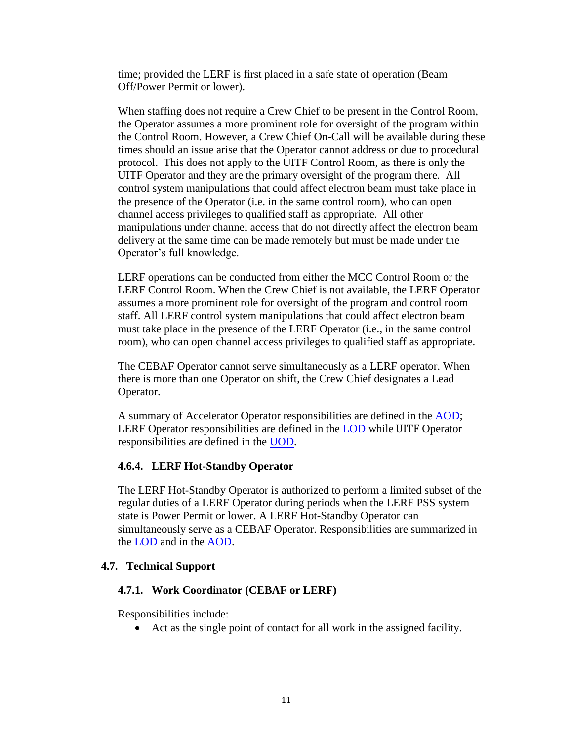time; provided the LERF is first placed in a safe state of operation (Beam Off/Power Permit or lower).

When staffing does not require a Crew Chief to be present in the Control Room, the Operator assumes a more prominent role for oversight of the program within the Control Room. However, a Crew Chief On-Call will be available during these times should an issue arise that the Operator cannot address or due to procedural protocol. This does not apply to the UITF Control Room, as there is only the UITF Operator and they are the primary oversight of the program there. All control system manipulations that could affect electron beam must take place in the presence of the Operator (i.e. in the same control room), who can open channel access privileges to qualified staff as appropriate. All other manipulations under channel access that do not directly affect the electron beam delivery at the same time can be made remotely but must be made under the Operator's full knowledge.

LERF operations can be conducted from either the MCC Control Room or the LERF Control Room. When the Crew Chief is not available, the LERF Operator assumes a more prominent role for oversight of the program and control room staff. All LERF control system manipulations that could affect electron beam must take place in the presence of the LERF Operator (i.e., in the same control room), who can open channel access privileges to qualified staff as appropriate.

The CEBAF Operator cannot serve simultaneously as a LERF operator. When there is more than one Operator on shift, the Crew Chief designates a Lead Operator.

A summary of Accelerator Operator responsibilities are defined in the **AOD**; LERF Operator responsibilities are defined in the [LOD](http://opsntsrv.acc.jlab.org/ops_docs/online_document_files/LERF_online_files/LERF_Operations_Directives_twosided.pdf) while UITF Operator responsibilities are defined in the [UOD.](http://opsntsrv.acc.jlab.org/ops_docs/online_document_files/MCC_online_files/UITF_Operations_Directives.pdf)

#### <span id="page-10-0"></span>**4.6.4. LERF Hot-Standby Operator**

The LERF Hot-Standby Operator is authorized to perform a limited subset of the regular duties of a LERF Operator during periods when the LERF PSS system state is Power Permit or lower. A LERF Hot-Standby Operator can simultaneously serve as a CEBAF Operator. Responsibilities are summarized in the [LOD](http://opsntsrv.acc.jlab.org/ops_docs/online_document_files/LERF_online_files/LERF_Operations_Directives_twosided.pdf) and in the [AOD.](http://opsntsrv.acc.jlab.org/ops_docs/online_document_files/ACC_online_files/accel_ops_directives.pdf)

#### <span id="page-10-2"></span><span id="page-10-1"></span>**4.7. Technical Support**

#### **4.7.1. Work Coordinator (CEBAF or LERF)**

Responsibilities include:

Act as the single point of contact for all work in the assigned facility.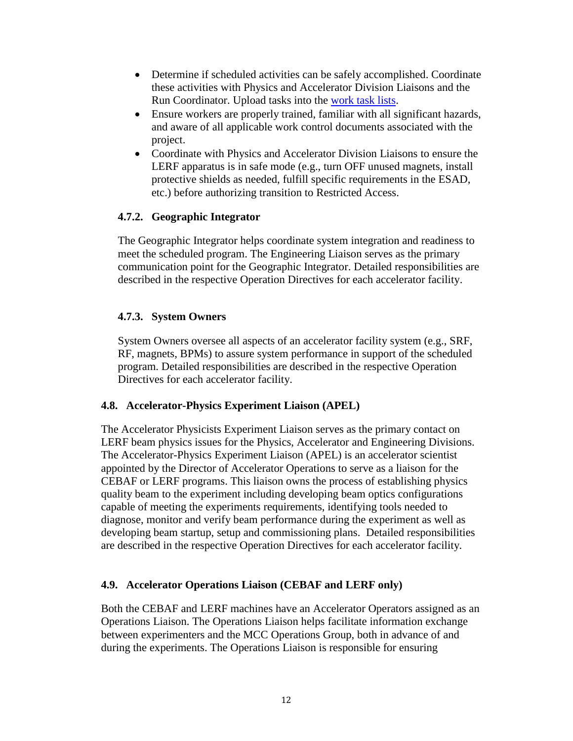- Determine if scheduled activities can be safely accomplished. Coordinate these activities with Physics and Accelerator Division Liaisons and the Run Coordinator. Upload tasks into the [work task lists.](https://www.jlab.org/listsites/)
- Ensure workers are properly trained, familiar with all significant hazards, and aware of all applicable work control documents associated with the project.
- Coordinate with Physics and Accelerator Division Liaisons to ensure the LERF apparatus is in safe mode (e.g., turn OFF unused magnets, install protective shields as needed, fulfill specific requirements in the ESAD, etc.) before authorizing transition to Restricted Access.

# <span id="page-11-0"></span>**4.7.2. Geographic Integrator**

The Geographic Integrator helps coordinate system integration and readiness to meet the scheduled program. The Engineering Liaison serves as the primary communication point for the Geographic Integrator. Detailed responsibilities are described in the respective Operation Directives for each accelerator facility.

# <span id="page-11-1"></span>**4.7.3. System Owners**

System Owners oversee all aspects of an accelerator facility system (e.g., SRF, RF, magnets, BPMs) to assure system performance in support of the scheduled program. Detailed responsibilities are described in the respective Operation Directives for each accelerator facility.

# <span id="page-11-2"></span>**4.8. Accelerator-Physics Experiment Liaison (APEL)**

The Accelerator Physicists Experiment Liaison serves as the primary contact on LERF beam physics issues for the Physics, Accelerator and Engineering Divisions. The Accelerator-Physics Experiment Liaison (APEL) is an accelerator scientist appointed by the Director of Accelerator Operations to serve as a liaison for the CEBAF or LERF programs. This liaison owns the process of establishing physics quality beam to the experiment including developing beam optics configurations capable of meeting the experiments requirements, identifying tools needed to diagnose, monitor and verify beam performance during the experiment as well as developing beam startup, setup and commissioning plans. Detailed responsibilities are described in the respective Operation Directives for each accelerator facility.

# <span id="page-11-3"></span>**4.9. Accelerator Operations Liaison (CEBAF and LERF only)**

Both the CEBAF and LERF machines have an Accelerator Operators assigned as an Operations Liaison. The Operations Liaison helps facilitate information exchange between experimenters and the MCC Operations Group, both in advance of and during the experiments. The Operations Liaison is responsible for ensuring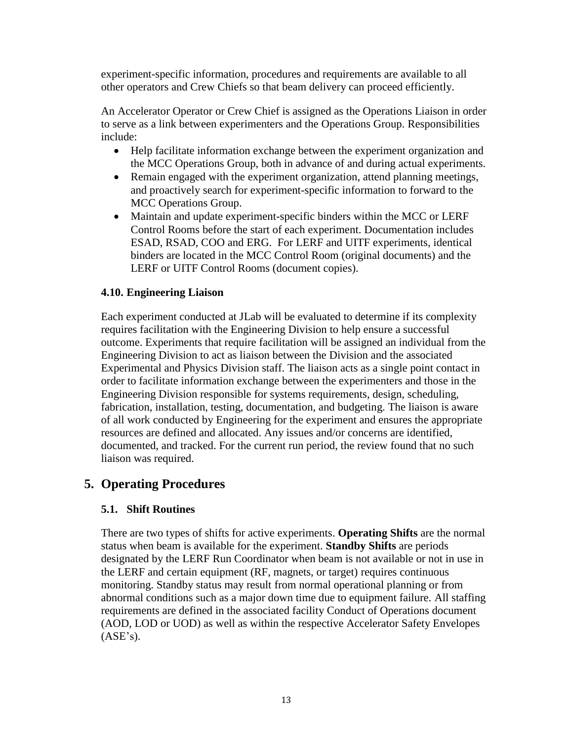experiment-specific information, procedures and requirements are available to all other operators and Crew Chiefs so that beam delivery can proceed efficiently.

An Accelerator Operator or Crew Chief is assigned as the Operations Liaison in order to serve as a link between experimenters and the Operations Group. Responsibilities include:

- Help facilitate information exchange between the experiment organization and the MCC Operations Group, both in advance of and during actual experiments.
- Remain engaged with the experiment organization, attend planning meetings, and proactively search for experiment-specific information to forward to the MCC Operations Group.
- Maintain and update experiment-specific binders within the MCC or LERF Control Rooms before the start of each experiment. Documentation includes ESAD, RSAD, COO and ERG. For LERF and UITF experiments, identical binders are located in the MCC Control Room (original documents) and the LERF or UITF Control Rooms (document copies).

#### <span id="page-12-0"></span>**4.10. Engineering Liaison**

Each experiment conducted at JLab will be evaluated to determine if its complexity requires facilitation with the Engineering Division to help ensure a successful outcome. Experiments that require facilitation will be assigned an individual from the Engineering Division to act as liaison between the Division and the associated Experimental and Physics Division staff. The liaison acts as a single point contact in order to facilitate information exchange between the experimenters and those in the Engineering Division responsible for systems requirements, design, scheduling, fabrication, installation, testing, documentation, and budgeting. The liaison is aware of all work conducted by Engineering for the experiment and ensures the appropriate resources are defined and allocated. Any issues and/or concerns are identified, documented, and tracked. For the current run period, the review found that no such liaison was required.

# <span id="page-12-1"></span>**5. Operating Procedures**

# <span id="page-12-2"></span>**5.1. Shift Routines**

There are two types of shifts for active experiments. **Operating Shifts** are the normal status when beam is available for the experiment. **Standby Shifts** are periods designated by the LERF Run Coordinator when beam is not available or not in use in the LERF and certain equipment (RF, magnets, or target) requires continuous monitoring. Standby status may result from normal operational planning or from abnormal conditions such as a major down time due to equipment failure. All staffing requirements are defined in the associated facility Conduct of Operations document (AOD, LOD or UOD) as well as within the respective Accelerator Safety Envelopes  $(ASE's)$ .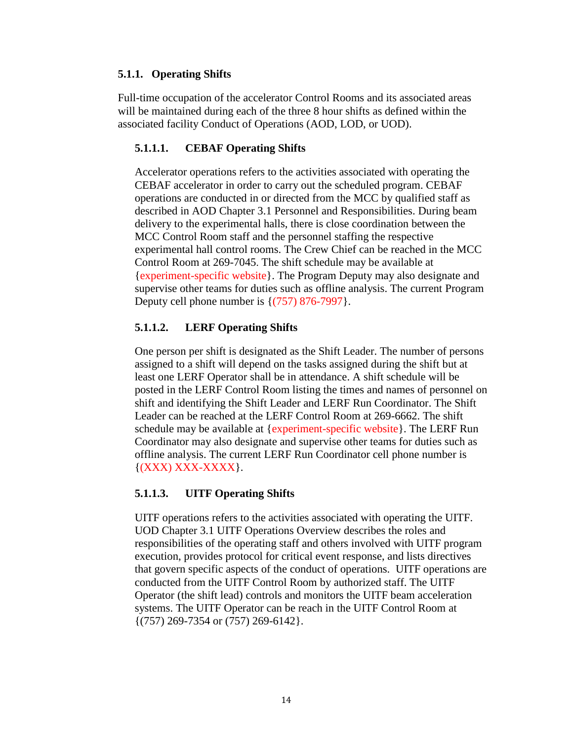# <span id="page-13-0"></span>**5.1.1. Operating Shifts**

Full-time occupation of the accelerator Control Rooms and its associated areas will be maintained during each of the three 8 hour shifts as defined within the associated facility Conduct of Operations (AOD, LOD, or UOD).

# <span id="page-13-1"></span>**5.1.1.1. CEBAF Operating Shifts**

Accelerator operations refers to the activities associated with operating the CEBAF accelerator in order to carry out the scheduled program. CEBAF operations are conducted in or directed from the MCC by qualified staff as described in AOD Chapter 3.1 Personnel and Responsibilities. During beam delivery to the experimental halls, there is close coordination between the MCC Control Room staff and the personnel staffing the respective experimental hall control rooms. The Crew Chief can be reached in the MCC Control Room at 269-7045. The shift schedule may be available at {experiment-specific website}. The Program Deputy may also designate and supervise other teams for duties such as offline analysis. The current Program Deputy cell phone number is  $\{(757) 876 - 7997\}$ .

# <span id="page-13-2"></span>**5.1.1.2. LERF Operating Shifts**

One person per shift is designated as the Shift Leader. The number of persons assigned to a shift will depend on the tasks assigned during the shift but at least one LERF Operator shall be in attendance. A shift schedule will be posted in the LERF Control Room listing the times and names of personnel on shift and identifying the Shift Leader and LERF Run Coordinator. The Shift Leader can be reached at the LERF Control Room at 269-6662. The shift schedule may be available at {experiment-specific website}. The LERF Run Coordinator may also designate and supervise other teams for duties such as offline analysis. The current LERF Run Coordinator cell phone number is  $\{(XXX) XXX-XXXX\}.$ 

# <span id="page-13-3"></span>**5.1.1.3. UITF Operating Shifts**

UITF operations refers to the activities associated with operating the UITF. UOD Chapter 3.1 UITF Operations Overview describes the roles and responsibilities of the operating staff and others involved with UITF program execution, provides protocol for critical event response, and lists directives that govern specific aspects of the conduct of operations. UITF operations are conducted from the UITF Control Room by authorized staff. The UITF Operator (the shift lead) controls and monitors the UITF beam acceleration systems. The UITF Operator can be reach in the UITF Control Room at {(757) 269-7354 or (757) 269-6142}.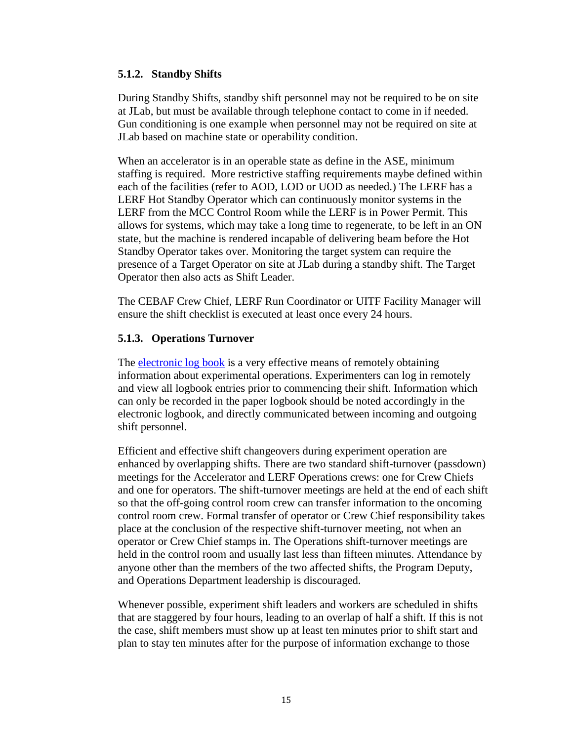#### <span id="page-14-0"></span>**5.1.2. Standby Shifts**

During Standby Shifts, standby shift personnel may not be required to be on site at JLab, but must be available through telephone contact to come in if needed. Gun conditioning is one example when personnel may not be required on site at JLab based on machine state or operability condition.

When an accelerator is in an operable state as define in the ASE, minimum staffing is required. More restrictive staffing requirements maybe defined within each of the facilities (refer to AOD, LOD or UOD as needed.) The LERF has a LERF Hot Standby Operator which can continuously monitor systems in the LERF from the MCC Control Room while the LERF is in Power Permit. This allows for systems, which may take a long time to regenerate, to be left in an ON state, but the machine is rendered incapable of delivering beam before the Hot Standby Operator takes over. Monitoring the target system can require the presence of a Target Operator on site at JLab during a standby shift. The Target Operator then also acts as Shift Leader.

The CEBAF Crew Chief, LERF Run Coordinator or UITF Facility Manager will ensure the shift checklist is executed at least once every 24 hours.

#### <span id="page-14-1"></span>**5.1.3. Operations Turnover**

The [electronic log book](https://logbooks.jlab.org/) is a very effective means of remotely obtaining information about experimental operations. Experimenters can log in remotely and view all logbook entries prior to commencing their shift. Information which can only be recorded in the paper logbook should be noted accordingly in the electronic logbook, and directly communicated between incoming and outgoing shift personnel.

Efficient and effective shift changeovers during experiment operation are enhanced by overlapping shifts. There are two standard shift-turnover (passdown) meetings for the Accelerator and LERF Operations crews: one for Crew Chiefs and one for operators. The shift-turnover meetings are held at the end of each shift so that the off-going control room crew can transfer information to the oncoming control room crew. Formal transfer of operator or Crew Chief responsibility takes place at the conclusion of the respective shift-turnover meeting, not when an operator or Crew Chief stamps in. The Operations shift-turnover meetings are held in the control room and usually last less than fifteen minutes. Attendance by anyone other than the members of the two affected shifts, the Program Deputy, and Operations Department leadership is discouraged.

Whenever possible, experiment shift leaders and workers are scheduled in shifts that are staggered by four hours, leading to an overlap of half a shift. If this is not the case, shift members must show up at least ten minutes prior to shift start and plan to stay ten minutes after for the purpose of information exchange to those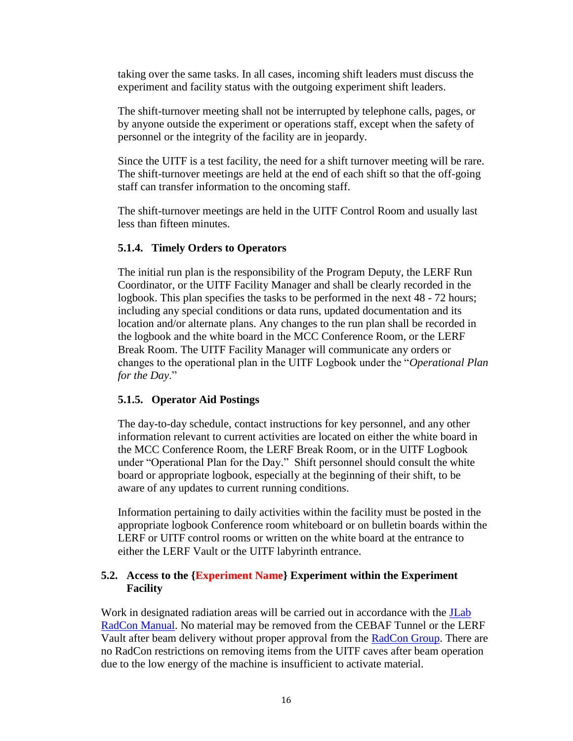taking over the same tasks. In all cases, incoming shift leaders must discuss the experiment and facility status with the outgoing experiment shift leaders.

The shift-turnover meeting shall not be interrupted by telephone calls, pages, or by anyone outside the experiment or operations staff, except when the safety of personnel or the integrity of the facility are in jeopardy.

Since the UITF is a test facility, the need for a shift turnover meeting will be rare. The shift-turnover meetings are held at the end of each shift so that the off-going staff can transfer information to the oncoming staff.

The shift-turnover meetings are held in the UITF Control Room and usually last less than fifteen minutes.

#### <span id="page-15-0"></span>**5.1.4. Timely Orders to Operators**

The initial run plan is the responsibility of the Program Deputy, the LERF Run Coordinator, or the UITF Facility Manager and shall be clearly recorded in the logbook. This plan specifies the tasks to be performed in the next 48 - 72 hours; including any special conditions or data runs, updated documentation and its location and/or alternate plans. Any changes to the run plan shall be recorded in the logbook and the white board in the MCC Conference Room, or the LERF Break Room. The UITF Facility Manager will communicate any orders or changes to the operational plan in the UITF Logbook under the "*Operational Plan for the Day*."

# <span id="page-15-1"></span>**5.1.5. Operator Aid Postings**

The day-to-day schedule, contact instructions for key personnel, and any other information relevant to current activities are located on either the white board in the MCC Conference Room, the LERF Break Room, or in the UITF Logbook under "Operational Plan for the Day." Shift personnel should consult the white board or appropriate logbook, especially at the beginning of their shift, to be aware of any updates to current running conditions.

Information pertaining to daily activities within the facility must be posted in the appropriate logbook Conference room whiteboard or on bulletin boards within the LERF or UITF control rooms or written on the white board at the entrance to either the LERF Vault or the UITF labyrinth entrance.

#### <span id="page-15-2"></span>**5.2. Access to the {Experiment Name} Experiment within the Experiment Facility**

Work in designated radiation areas will be carried out in accordance with the **JLab** [RadCon Manual.](https://www.jlab.org/ehs/ehsmanual/RadCon/index.html) No material may be removed from the CEBAF Tunnel or the LERF Vault after beam delivery without proper approval from the [RadCon Group.](https://www.jlab.org/accel/RadCon/personnel.html) There are no RadCon restrictions on removing items from the UITF caves after beam operation due to the low energy of the machine is insufficient to activate material.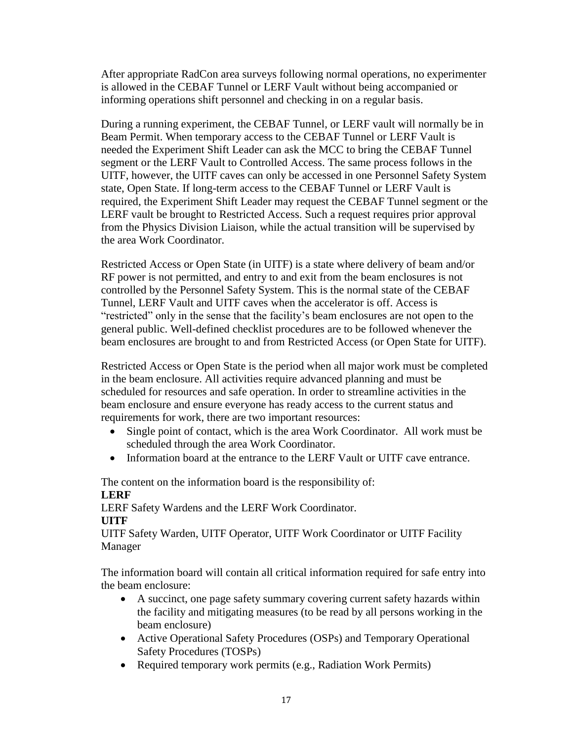After appropriate RadCon area surveys following normal operations, no experimenter is allowed in the CEBAF Tunnel or LERF Vault without being accompanied or informing operations shift personnel and checking in on a regular basis.

During a running experiment, the CEBAF Tunnel, or LERF vault will normally be in Beam Permit. When temporary access to the CEBAF Tunnel or LERF Vault is needed the Experiment Shift Leader can ask the MCC to bring the CEBAF Tunnel segment or the LERF Vault to Controlled Access. The same process follows in the UITF, however, the UITF caves can only be accessed in one Personnel Safety System state, Open State. If long-term access to the CEBAF Tunnel or LERF Vault is required, the Experiment Shift Leader may request the CEBAF Tunnel segment or the LERF vault be brought to Restricted Access. Such a request requires prior approval from the Physics Division Liaison, while the actual transition will be supervised by the area Work Coordinator.

Restricted Access or Open State (in UITF) is a state where delivery of beam and/or RF power is not permitted, and entry to and exit from the beam enclosures is not controlled by the Personnel Safety System. This is the normal state of the CEBAF Tunnel, LERF Vault and UITF caves when the accelerator is off. Access is "restricted" only in the sense that the facility's beam enclosures are not open to the general public. Well-defined checklist procedures are to be followed whenever the beam enclosures are brought to and from Restricted Access (or Open State for UITF).

Restricted Access or Open State is the period when all major work must be completed in the beam enclosure. All activities require advanced planning and must be scheduled for resources and safe operation. In order to streamline activities in the beam enclosure and ensure everyone has ready access to the current status and requirements for work, there are two important resources:

- Single point of contact, which is the area Work Coordinator. All work must be scheduled through the area Work Coordinator.
- Information board at the entrance to the LERF Vault or UITF cave entrance.

The content on the information board is the responsibility of: **LERF**

LERF Safety Wardens and the LERF Work Coordinator. **UITF**

UITF Safety Warden, UITF Operator, UITF Work Coordinator or UITF Facility Manager

The information board will contain all critical information required for safe entry into the beam enclosure:

- A succinct, one page safety summary covering current safety hazards within the facility and mitigating measures (to be read by all persons working in the beam enclosure)
- Active Operational Safety Procedures (OSPs) and Temporary Operational Safety Procedures (TOSPs)
- Required temporary work permits (e.g., Radiation Work Permits)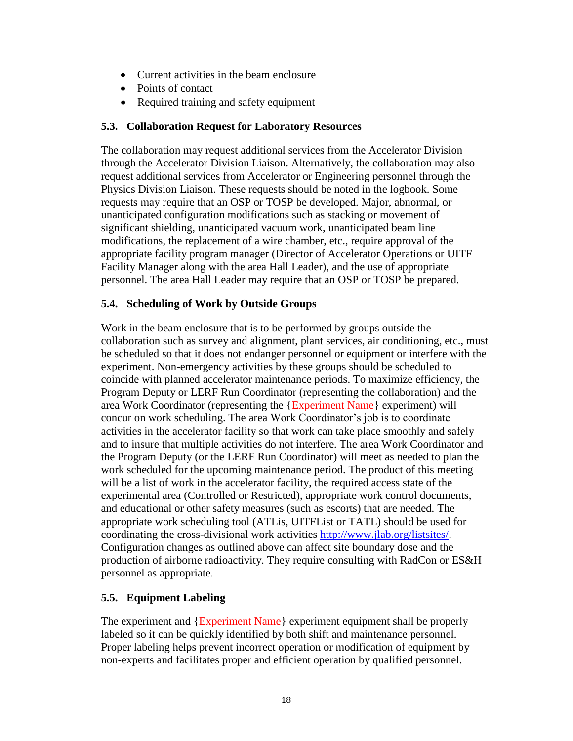- Current activities in the beam enclosure
- Points of contact
- Required training and safety equipment

#### <span id="page-17-0"></span>**5.3. Collaboration Request for Laboratory Resources**

The collaboration may request additional services from the Accelerator Division through the Accelerator Division Liaison. Alternatively, the collaboration may also request additional services from Accelerator or Engineering personnel through the Physics Division Liaison. These requests should be noted in the logbook. Some requests may require that an OSP or TOSP be developed. Major, abnormal, or unanticipated configuration modifications such as stacking or movement of significant shielding, unanticipated vacuum work, unanticipated beam line modifications, the replacement of a wire chamber, etc., require approval of the appropriate facility program manager (Director of Accelerator Operations or UITF Facility Manager along with the area Hall Leader), and the use of appropriate personnel. The area Hall Leader may require that an OSP or TOSP be prepared.

#### <span id="page-17-1"></span>**5.4. Scheduling of Work by Outside Groups**

Work in the beam enclosure that is to be performed by groups outside the collaboration such as survey and alignment, plant services, air conditioning, etc., must be scheduled so that it does not endanger personnel or equipment or interfere with the experiment. Non-emergency activities by these groups should be scheduled to coincide with planned accelerator maintenance periods. To maximize efficiency, the Program Deputy or LERF Run Coordinator (representing the collaboration) and the area Work Coordinator (representing the {Experiment Name} experiment) will concur on work scheduling. The area Work Coordinator's job is to coordinate activities in the accelerator facility so that work can take place smoothly and safely and to insure that multiple activities do not interfere. The area Work Coordinator and the Program Deputy (or the LERF Run Coordinator) will meet as needed to plan the work scheduled for the upcoming maintenance period. The product of this meeting will be a list of work in the accelerator facility, the required access state of the experimental area (Controlled or Restricted), appropriate work control documents, and educational or other safety measures (such as escorts) that are needed. The appropriate work scheduling tool (ATLis, UITFList or TATL) should be used for coordinating the cross-divisional work activities [http://www.jlab.org/listsites/.](http://www.jlab.org/listsites/) Configuration changes as outlined above can affect site boundary dose and the production of airborne radioactivity. They require consulting with RadCon or ES&H personnel as appropriate.

# <span id="page-17-2"></span>**5.5. Equipment Labeling**

The experiment and {Experiment Name} experiment equipment shall be properly labeled so it can be quickly identified by both shift and maintenance personnel. Proper labeling helps prevent incorrect operation or modification of equipment by non-experts and facilitates proper and efficient operation by qualified personnel.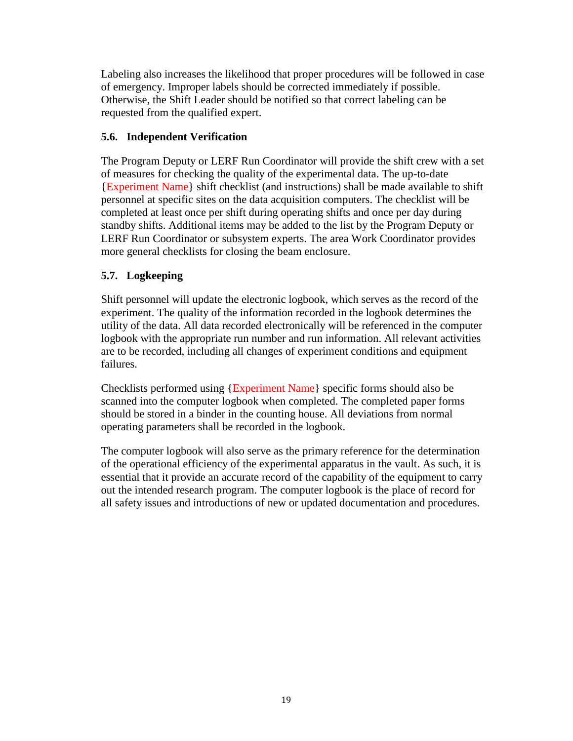Labeling also increases the likelihood that proper procedures will be followed in case of emergency. Improper labels should be corrected immediately if possible. Otherwise, the Shift Leader should be notified so that correct labeling can be requested from the qualified expert.

# <span id="page-18-0"></span>**5.6. Independent Verification**

The Program Deputy or LERF Run Coordinator will provide the shift crew with a set of measures for checking the quality of the experimental data. The up-to-date {Experiment Name} shift checklist (and instructions) shall be made available to shift personnel at specific sites on the data acquisition computers. The checklist will be completed at least once per shift during operating shifts and once per day during standby shifts. Additional items may be added to the list by the Program Deputy or LERF Run Coordinator or subsystem experts. The area Work Coordinator provides more general checklists for closing the beam enclosure.

# <span id="page-18-1"></span>**5.7. Logkeeping**

Shift personnel will update the electronic logbook, which serves as the record of the experiment. The quality of the information recorded in the logbook determines the utility of the data. All data recorded electronically will be referenced in the computer logbook with the appropriate run number and run information. All relevant activities are to be recorded, including all changes of experiment conditions and equipment failures.

Checklists performed using {Experiment Name} specific forms should also be scanned into the computer logbook when completed. The completed paper forms should be stored in a binder in the counting house. All deviations from normal operating parameters shall be recorded in the logbook.

The computer logbook will also serve as the primary reference for the determination of the operational efficiency of the experimental apparatus in the vault. As such, it is essential that it provide an accurate record of the capability of the equipment to carry out the intended research program. The computer logbook is the place of record for all safety issues and introductions of new or updated documentation and procedures.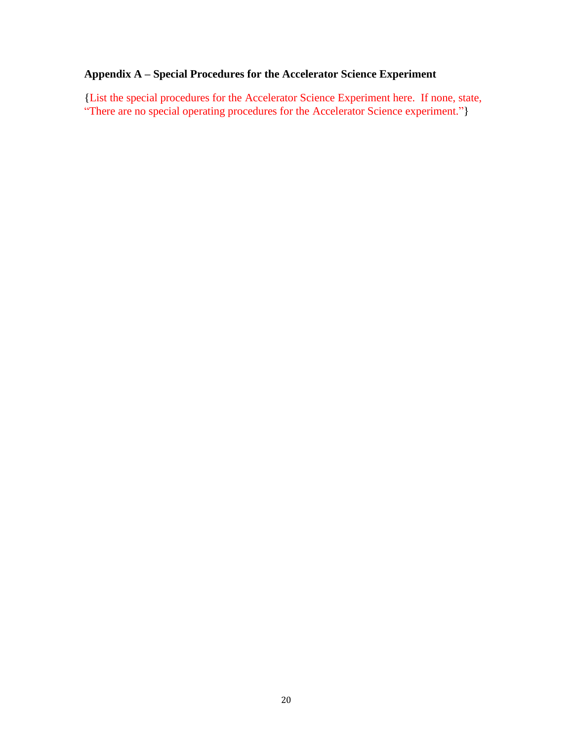# **Appendix A – Special Procedures for the Accelerator Science Experiment**

{List the special procedures for the Accelerator Science Experiment here. If none, state, "There are no special operating procedures for the Accelerator Science experiment."}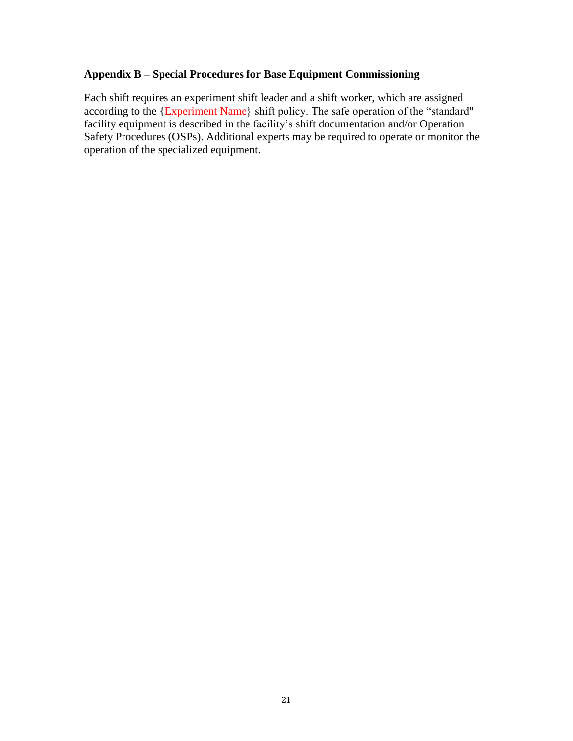# **Appendix B – Special Procedures for Base Equipment Commissioning**

Each shift requires an experiment shift leader and a shift worker, which are assigned according to the {Experiment Name} shift policy. The safe operation of the "standard" facility equipment is described in the facility's shift documentation and/or Operation Safety Procedures (OSPs). Additional experts may be required to operate or monitor the operation of the specialized equipment.